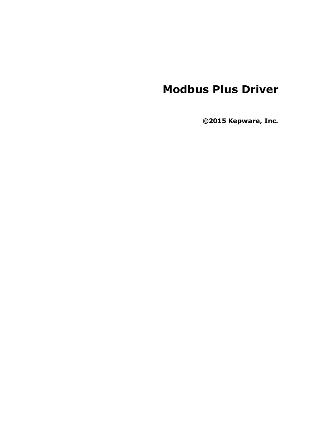# **Modbus Plus Driver**

**©2015 Kepware, Inc.**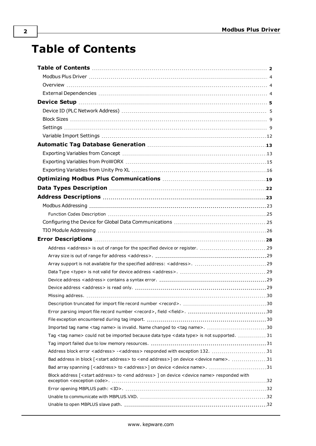# <span id="page-1-0"></span>**Table of Contents**

| Imported tag name <tag name=""> is invalid. Name changed to <tag name="">. 30</tag></tag>                                 |  |
|---------------------------------------------------------------------------------------------------------------------------|--|
| Tag <tag name=""> could not be imported because data type <data type=""> is not supported.  31</data></tag>               |  |
|                                                                                                                           |  |
| Address block error <address> -<address> responded with exception 132. 31</address></address>                             |  |
| Bad address in block [ <start address=""> to <end address="">] on device <device name="">. 31</device></end></start>      |  |
| Bad array spanning [ <address> to <address>] on device <device name="">. 31</device></address></address>                  |  |
| Block address [ <start address=""> to <end address=""> ] on device <device name=""> responded with</device></end></start> |  |
|                                                                                                                           |  |
|                                                                                                                           |  |
|                                                                                                                           |  |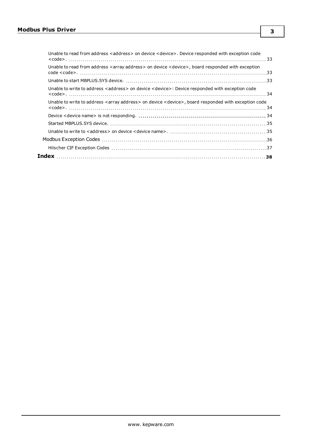| Unable to read from address <address> on device <device>. Device responded with exception code</device></address>  |  |
|--------------------------------------------------------------------------------------------------------------------|--|
| Unable to read from address <array address=""> on device <device>, board responded with exception</device></array> |  |
|                                                                                                                    |  |
| Unable to write to address <address> on device <device>: Device responded with exception code</device></address>   |  |
| Unable to write to address < array address > on device < device >, board responded with exception code             |  |
|                                                                                                                    |  |
|                                                                                                                    |  |
|                                                                                                                    |  |
|                                                                                                                    |  |
|                                                                                                                    |  |
|                                                                                                                    |  |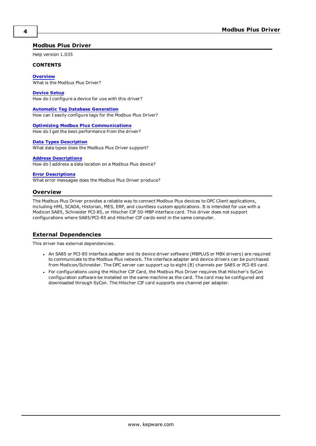## <span id="page-3-0"></span>**Modbus Plus Driver**

Help version 1.035

#### **CONTENTS**

**[Overview](#page-3-1)** What is the Modbus Plus Driver?

**[Device](#page-4-0) Setup** How do I configure a device for use with this driver?

**Automatic Tag Database [Generation](#page-12-0)** How can I easily configure tags for the Modbus Plus Driver?

**Optimizing Modbus Plus [Communications](#page-18-0)** How do I get the best performance from the driver?

#### **Data Types [Description](#page-21-0)**

What data types does the Modbus Plus Driver support?

#### **Address [Descriptions](#page-22-0)**

How do I address a data location on a Modbus Plus device?

#### **Error [Descriptions](#page-27-0)**

<span id="page-3-1"></span>What error messages does the Modbus Plus Driver produce?

#### <span id="page-3-3"></span>**Overview**

The Modbus Plus Driver provides a reliable way to connect Modbus Plus devices to OPC Client applications, including HMI, SCADA, Historian, MES, ERP, and countless custom applications. It is intended for use with a Modicon SA85, Schneider PCI-85, or Hilscher CIF 50-MBP interface card. This driver does not support configurations where SA85/PCI-85 and Hilscher CIF cards exist in the same computer.

## <span id="page-3-2"></span>**External Dependencies**

This driver has external dependencies.

- <span id="page-3-5"></span>• An SA85 or PCI-85 interface adapter and its device driver software (MBPLUS or MBX drivers) are required to communicate to the Modbus Plus network. The interface adapter and device drivers can be purchased from Modicon/Schneider. The OPC server can support up to eight (8) channels per SA85 or PCI-85 card.
- <span id="page-3-4"></span>• For configurations using the Hilscher CIF Card, the Modbus Plus Driver requires that Hilscher's SyCon configuration software be installed on the same machine as the card. The card may be configured and downloaded through SyCon. The Hilscher CIF card supports one channel per adapter.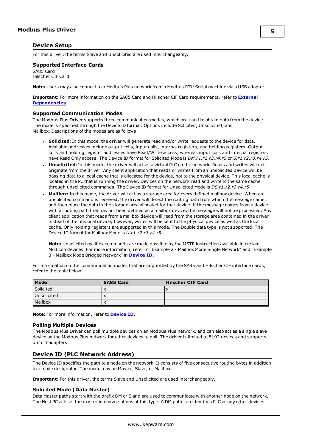## <span id="page-4-0"></span>**Device Setup**

<span id="page-4-3"></span>For this driver, the terms Slave and Unsolicited are used interchangeably.

## <span id="page-4-7"></span>**Supported Interface Cards**

SA85 Card Hilscher CIF Card

**Note:** Users may also connect to a Modbus Plus network from a Modbus RTU Serial machine via a USB adapter.

**Important:** For more information on the SA85 Card and Hilscher CIF Card requirements, refer to **[External](#page-3-2) [Dependencies](#page-3-2)**.

#### <span id="page-4-9"></span>**Supported Communication Modes**

The Modbus Plus Driver supports three communication modes, which are used to obtain data from the device. The mode is specified through the Device ID format. Options include Solicited, Unsolicited, and Mailbox. Descriptions of the modes are as follows:

- <span id="page-4-8"></span>**.** Solicited: In this mode, the driver will generate read and/or write requests to the device for data. Available addresses include output coils, input coils, internal registers, and holding registers. Output coils and holding register addresses have Read/Write access, whereas input coils and internal registers have Read Only access. The Device ID format for Solicited Mode is *DM.r1.r2.r3.r4.r5* or *S.r1.r2.r3.r4.r5*.
- **· Unsolicited:** In this mode, the driver will act as a virtual PLC on the network. Reads and writes will not originate from the driver. Any client application that reads or writes from an unsolicited device will be passing data to a local cache that is allocated for the device, not to the physical device. This local cache is located in the PC that is running the driver. Devices on the network read and write to the same cache through unsolicited commands. The Device ID format for Unsolicited Mode is *DS.r1.r2.r3.r4.r5*.
- <span id="page-4-4"></span> $\bullet$  Mailbox: In this mode, the driver will act as a storage area for every defined mailbox device. When an unsolicited command is received, the driver will detect the routing path from which the message came, and then place the data in the storage area allocated for that device. If the message comes from a device with a routing path that has not been defined as a mailbox device, the message will not be processed. Any client application that reads from a mailbox device will read from the storage area contained in the driver instead of the physical device; however, writes will be sent to the physical device as well as the local cache. Only holding registers are supported in this mode. The Double data type is not supported. The Device ID format for Mailbox Mode is *U.r1.r2.r3.r4.r5*.

**Note:** Unsolicited mailbox commands are made possible by the MSTR instruction available in certain Modicon devices. For more information, refer to "Example 2 - Mailbox Mode Single Network" and "Example 3 - Mailbox Mode Bridged Network" in **[Device](#page-4-1) ID**.

For information on the communication modes that are supported by the SA85 and Hilscher CIF interface cards, refer to the table below.

| Mode        | <b>SA85 Card</b> | <b>Hilscher CIF Card</b> |
|-------------|------------------|--------------------------|
| Solicited   | $\lambda$        | $\overline{\phantom{a}}$ |
| Unsolicited | $\lambda$        |                          |
| Mailbox     | $\lambda$        |                          |

<span id="page-4-6"></span>**Note:** For more information, refer to **[Device](#page-4-1) ID**.

#### **Polling Multiple Devices**

The Modbus Plus Driver can poll multiple devices on an Modbus Plus network, and can also act as a single slave device on the Modbus Plus network for other devices to poll. The driver is limited to 8192 devices and supports up to 4 adapters.

## <span id="page-4-5"></span><span id="page-4-1"></span>**Device ID (PLC Network Address)**

The Device ID specifies the path to a node on the network. It consists of five consecutive routing bytes in addition to a mode designator. The mode may be Master, Slave, or Mailbox.

<span id="page-4-2"></span>**Important:** For this driver, the terms Slave and Unsolicited are used interchangeably.

#### **Solicited Mode (Data Master)**

Data Master paths start with the prefix DM or S and are used to communicate with another node on the network. The Host PC acts as the master in conversations of this type. A DM path can identify a PLC or any other devices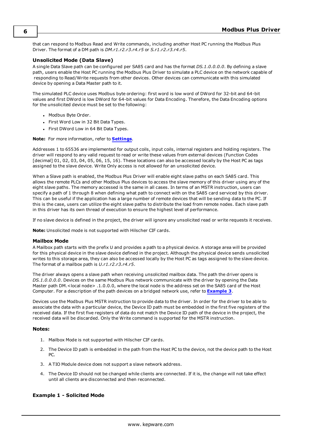that can respond to Modbus Read and Write commands, including another Host PC running the Modbus Plus Driver. The format of a DM path is *DM.r1.r2.r3.r4.r5* or *S.r1.r2.r3.r4.r5*.

## <span id="page-5-1"></span>**Unsolicited Mode (Data Slave)**

A single Data Slave path can be configured per SA85 card and has the format *DS.1.0.0.0.0*. By defining a slave path, users enable the Host PC running the Modbus Plus Driver to simulate a PLC device on the network capable of responding to Read/Write requests from other devices. Other devices can communicate with this simulated device by opening a Data Master path to it.

The simulated PLC device uses Modbus byte ordering: first word is low word of DWord for 32-bit and 64-bit values and first DWord is low DWord for 64-bit values for Data Encoding. Therefore, the Data Encoding options for the unsolicited device must be set to the following:

- Modbus Byte Order.
- First Word Low in 32 Bit Data Types.
- First DWord Low in 64 Bit Data Types.

#### **Note:** For more information, refer to **[Settings](#page-8-1)**.

Addresses 1 to 65536 are implemented for output coils, input coils, internal registers and holding registers. The driver will respond to any valid request to read or write these values from external devices (Function Codes [decimal] 01, 02, 03, 04, 05, 06, 15, 16). These locations can also be accessed locally by the Host PC as tags assigned to the slave device. Write Only access is not allowed for an unsolicited device.

<span id="page-5-3"></span>When a Slave path is enabled, the Modbus Plus Driver will enable eight slave paths on each SA85 card. This allows the remote PLCs and other Modbus Plus devices to access the slave memory of this driver using any of the eight slave paths. The memory accessed is the same in all cases. In terms of an MSTR instruction, users can specify a path of 1 through 8 when defining what path to connect with on the SA85 card serviced by this driver. This can be useful if the application has a large number of remote devices that will be sending data to the PC. If this is the case, users can utilize the eight slave paths to distribute the load from remote nodes. Each slave path in this driver has its own thread of execution to ensure the highest level of performance.

<span id="page-5-2"></span>If no slave device is defined in the project, the driver will ignore any unsolicited read or write requests it receives.

<span id="page-5-0"></span>**Note:** Unsolicited mode is not supported with Hilscher CIF cards.

#### **Mailbox Mode**

A Mailbox path starts with the prefix U and provides a path to a physical device. A storage area will be provided for this physical device in the slave device defined in the project. Although the physical device sends unsolicited writes to this storage area, they can also be accessed locally by the Host PC as tags assigned to the slave device. The format of a mailbox path is *U.r1.r2.r3.r4.r5*.

The driver always opens a slave path when receiving unsolicited mailbox data. The path the driver opens is *DS.1.0.0.0.0*. Devices on the same Modbus Plus network communicate with the driver by opening the Data Master path DM.<local node> .1.0.0.0, where the local node is the address set on the SA85 card of the Host Computer. For a description of the path devices on a bridged network use, refer to **[Example](#page-7-0) 3**.

Devices use the Modbus Plus MSTR instruction to provide data to the driver. In order for the driver to be able to associate the data with a particular device, the Device ID path must be embedded in the first five registers of the received data. If the first five registers of data do not match the Device ID path of the device in the project, the received data will be discarded. Only the Write command is supported for the MSTR instruction.

#### **Notes:**

- 1. Mailbox Mode is not supported with Hilscher CIF cards.
- 2. The Device ID path is embedded in the path from the Host PC to the device, not the device path to the Host PC.
- 3. A TIO Module device does not support a slave network address.
- 4. The Device ID should not be changed while clients are connected. If it is, the change will not take effect until all clients are disconnected and then reconnected.

#### **Example 1 - Solicited Mode**

**6**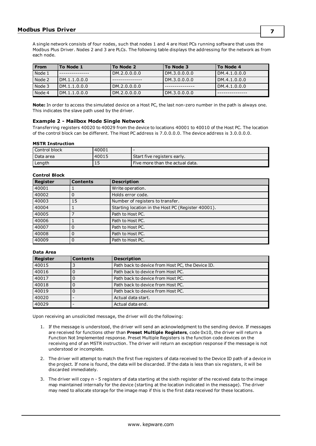A single network consists of four nodes, such that nodes 1 and 4 are Host PCs running software that uses the Modbus Plus Driver. Nodes 2 and 3 are PLCs. The following table displays the addressing for the network as from each node.

| <b>From</b> | To Node 1    | To Node 2    | To Node 3    | To Node 4    |
|-------------|--------------|--------------|--------------|--------------|
| Node 1      |              | DM.2.0.0.0.0 | DM.3.0.0.0.0 | DM.4.1.0.0.0 |
| Node 2      | DM.1.1.0.0.0 |              | DM.3.0.0.0.0 | DM.4.1.0.0.0 |
| Node 3      | DM.1.1.0.0.0 | DM.2.0.0.0.0 |              | DM.4.1.0.0.0 |
| Node 4      | DM.1.1.0.0.0 | DM.2.0.0.0.0 | DM.3.0.0.0.0 |              |

**Note:** In order to access the simulated device on a Host PC, the last non-zero number in the path is always one. This indicates the slave path used by the driver.

#### **Example 2 - Mailbox Mode Single Network**

Transferring registers 40020 to 40029 from the device to locations 40001 to 40010 of the Host PC. The location of the control block can be different. The Host PC address is 7.0.0.0.0. The device address is 3.0.0.0.0.

#### **MSTR Instruction**

| Control block | 40001 |                                 |
|---------------|-------|---------------------------------|
| l Data area   | 40015 | Start five registers early.     |
| Length        | ᅩ     | Five more than the actual data. |

## **Control Block**

| <b>Register</b> | <b>Contents</b> | <b>Description</b>                                 |
|-----------------|-----------------|----------------------------------------------------|
| 40001           |                 | Write operation.                                   |
| 40002           |                 | Holds error code.                                  |
| 40003           | 15              | Number of registers to transfer.                   |
| 40004           |                 | Starting location in the Host PC (Register 40001). |
| 40005           |                 | Path to Host PC.                                   |
| 40006           |                 | Path to Host PC.                                   |
| 40007           |                 | Path to Host PC.                                   |
| 40008           |                 | Path to Host PC.                                   |
| 40009           |                 | Path to Host PC.                                   |

#### **Data Area**

| Register | <b>Contents</b> | <b>Description</b>                               |
|----------|-----------------|--------------------------------------------------|
| 40015    |                 | Path back to device from Host PC, the Device ID. |
| 40016    |                 | Path back to device from Host PC.                |
| 40017    |                 | Path back to device from Host PC.                |
| 40018    |                 | Path back to device from Host PC.                |
| 40019    |                 | Path back to device from Host PC.                |
| 40020    |                 | Actual data start.                               |
| 40029    |                 | Actual data end.                                 |

Upon receiving an unsolicited message, the driver will do the following:

- 1. If the message is understood, the driver will send an acknowledgment to the sending device. If messages are received for functions other than **Preset Multiple Registers**, code 0x10, the driver will return a Function Not Implemented response. Preset Multiple Registers is the function code devices on the receiving end of an MSTR instruction. The driver will return an exception response if the message is not understood or incomplete.
- 2. The driver will attempt to match the first five registers of data received to the Device ID path of a device in the project. If none is found, the data will be discarded. If the data is less than six registers, it will be discarded immediately.
- 3. The driver will copy n 5 registers of data starting at the sixth register of the received data to the image map maintained internally for the device (starting at the location indicated in the message). The driver may need to allocate storage for the image map if this is the first data received for these locations.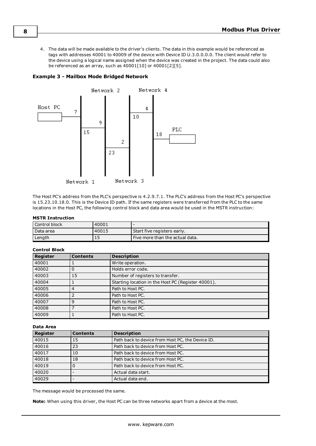<span id="page-7-0"></span>4. The data will be made available to the driver's clients. The data in this example would be referenced as tags with addresses 40001 to 40009 of the device with Device ID U.3.0.0.0.0. The client would refer to the device using a logical name assigned when the device was created in the project. The data could also be referenced as an array, such as 40001[10] or 40001[2][5].

### <span id="page-7-1"></span>**Example 3 - Mailbox Mode Bridged Network**



The Host PC's address from the PLC's perspective is 4.2.9.7.1. The PLC's address from the Host PC's perspective is 15.23.10.18.0. This is the Device ID path. If the same registers were transferred from the PLC to the same locations in the Host PC, the following control block and data area would be used in the MSTR instruction:

#### **MSTR Instruction**

| Control block | 40001 |                                 |
|---------------|-------|---------------------------------|
| l Data area   | 40015 | Start five registers early.     |
| Length        | 15    | Five more than the actual data. |

| <b>Register</b> | <b>Contents</b> | <b>Description</b>                                 |
|-----------------|-----------------|----------------------------------------------------|
| 40001           |                 | Write operation.                                   |
| 40002           |                 | Holds error code.                                  |
| 40003           | 15              | Number of registers to transfer.                   |
| 40004           |                 | Starting location in the Host PC (Register 40001). |
| 40005           | 4               | Path to Host PC.                                   |
| 40006           |                 | Path to Host PC.                                   |
| 40007           | 9               | Path to Host PC.                                   |
| 40008           |                 | Path to Host PC.                                   |
| 40009           |                 | Path to Host PC.                                   |

#### **Control Block**

#### **Data Area**

| <b>Register</b> | <b>Contents</b> | <b>Description</b>                               |
|-----------------|-----------------|--------------------------------------------------|
| 40015           | 15              | Path back to device from Host PC, the Device ID. |
| 40016           | 23              | Path back to device from Host PC.                |
| 40017           | 10              | Path back to device from Host PC.                |
| 40018           | 18              | Path back to device from Host PC.                |
| 40019           |                 | Path back to device from Host PC.                |
| 40020           |                 | Actual data start.                               |
| 40029           |                 | Actual data end.                                 |

The message would be processed the same.

**Note:** When using this driver, the Host PC can be three networks apart from a device at the most.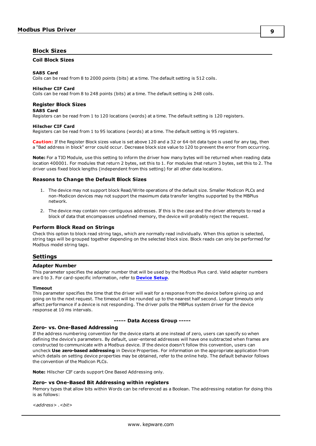## <span id="page-8-4"></span><span id="page-8-0"></span>**Block Sizes**

## **Coil Block Sizes**

#### <span id="page-8-11"></span>**SA85 Card**

<span id="page-8-7"></span>Coils can be read from 8 to 2000 points (bits) at a time. The default setting is 512 coils.

#### **Hilscher CIF Card**

<span id="page-8-10"></span>Coils can be read from 8 to 248 points (bits) at a time. The default setting is 248 coils.

#### **Register Block Sizes**

#### **SA85 Card**

Registers can be read from 1 to 120 locations (words) at a time. The default setting is 120 registers.

#### **Hilscher CIF Card**

Registers can be read from 1 to 95 locations (words) at a time. The default setting is 95 registers.

**Caution:** If the Register Block sizes value is set above 120 and a 32 or 64-bit data type is used for any tag, then a "Bad address in block" error could occur. Decrease block size value to 120 to prevent the error from occurring.

<span id="page-8-12"></span>**Note:** For a TIO Module, use this setting to inform the driver how many bytes will be returned when reading data location 400001. For modules that return 2 bytes, set this to 1. For modules that return 3 bytes, set this to 2. The driver uses fixed block lengths (independent from this setting) for all other data locations.

#### <span id="page-8-5"></span>**Reasons to Change the Default Block Sizes**

- 1. The device may not support block Read/Write operations of the default size. Smaller Modicon PLCs and non-Modicon devices may not support the maximum data transfer lengths supported by the MBPlus network.
- 2. The device may contain non-contiguous addresses. If this is the case and the driver attempts to read a block of data that encompasses undefined memory, the device will probably reject the request.

#### <span id="page-8-3"></span>**Perform Block Read on Strings**

Check this option to block read string tags, which are normally read individually. When this option is selected, string tags will be grouped together depending on the selected block size. Block reads can only be performed for Modbus model string tags.

#### <span id="page-8-2"></span><span id="page-8-1"></span>**Settings**

#### **Adapter Number**

This parameter specifies the adapter number that will be used by the Modbus Plus card. Valid adapter numbers are 0 to 3. For card-specific information, refer to **[Device](#page-4-0) Setup**.

#### **Timeout**

This parameter specifies the time that the driver will wait for a response from the device before giving up and going on to the next request. The timeout will be rounded up to the nearest half second. Longer timeouts only affect performance if a device is not responding. The driver polls the MBPlus system driver for the device response at 10 ms intervals.

#### <span id="page-8-9"></span><span id="page-8-8"></span>**Zero- vs. One-Based Addressing**

#### **----- Data Access Group -----**

If the address numbering convention for the device starts at one instead of zero, users can specify so when defining the device's parameters. By default, user-entered addresses will have one subtracted when frames are constructed to communicate with a Modbus device. If the device doesn't follow this convention, users can uncheck **Use zero-based addressing** in Device Properties. For information on the appropriate application from which details on setting device properties may be obtained, refer to the online help. The default behavior follows the convention of the Modicon PLCs.

<span id="page-8-6"></span>**Note:** Hilscher CIF cards support One Based Addressing only.

#### **Zero- vs One-Based Bit Addressing within registers**

Memory types that allow bits within Words can be referenced as a Boolean. The addressing notation for doing this is as follows:

*<address> .<bit>*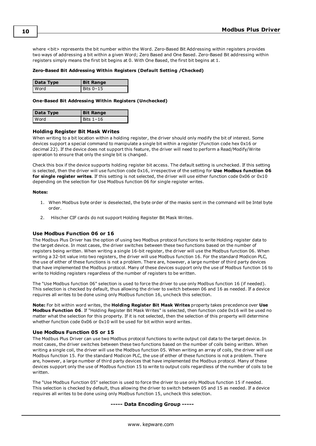where <bit> represents the bit number within the Word. Zero-Based Bit Addressing within registers provides two ways of addressing a bit within a given Word; Zero Based and One Based. Zero-Based Bit addressing within registers simply means the first bit begins at 0. With One Based, the first bit begins at 1.

#### **Zero-Based Bit Addressing Within Registers (Default Setting /Checked)**

| Data Type   | <b>Bit Range</b> |
|-------------|------------------|
| <b>Word</b> | Bits 0-15        |

#### **One-Based Bit Addressing Within Registers (Unchecked)**

| Data Type | <b>Bit Range</b> |
|-----------|------------------|
| l Word    | Bits $1-16$      |

#### <span id="page-9-0"></span>**Holding Register Bit Mask Writes**

When writing to a bit location within a holding register, the driver should only modify the bit of interest. Some devices support a special command to manipulate a single bit within a register (Function code hex 0x16 or decimal 22). If the device does not support this feature, the driver will need to perform a Read/Modify/Write operation to ensure that only the single bit is changed.

Check this box if the device supports holding register bit access. The default setting is unchecked. If this setting is selected, then the driver will use function code 0x16, irrespective of the setting for **Use Modbus function 06 for single register writes**. If this setting is not selected, the driver will use either function code 0x06 or 0x10 depending on the selection for Use Modbus function 06 for single register writes.

#### **Notes:**

- <span id="page-9-3"></span>1. When Modbus byte order is deselected, the byte order of the masks sent in the command will be Intel byte order.
- 2. Hilscher CIF cards do not support Holding Register Bit Mask Writes.

#### <span id="page-9-2"></span>**Use Modbus Function 06 or 16**

The Modbus Plus Driver has the option of using two Modbus protocol functions to write Holding register data to the target device. In most cases, the driver switches between these two functions based on the number of registers being written. When writing a single 16-bit register, the driver will use the Modbus function 06. When writing a 32-bit value into two registers, the driver will use Modbus function 16. For the standard Modicon PLC, the use of either of these functions is not a problem. There are, however, a large number of third party devices that have implemented the Modbus protocol. Many of these devices support only the use of Modbus function 16 to write to Holding registers regardless of the number of registers to be written.

The "Use Modbus function 06" selection is used to force the driver to use only Modbus function 16 (if needed). This selection is checked by default, thus allowing the driver to switch between 06 and 16 as needed. If a device requires all writes to be done using only Modbus function 16, uncheck this selection.

**Note:** For bit within word writes, the **Holding Register Bit Mask Writes** property takes precedence over **Use Modbus Function 06**. If "Holding Register Bit Mask Writes" is selected, then function code 0x16 will be used no matter what the selection for this property. If it is not selected, then the selection of this property will determine whether function code 0x06 or 0x10 will be used for bit within word writes.

#### <span id="page-9-1"></span>**Use Modbus Function 05 or 15**

The Modbus Plus Driver can use two Modbus protocol functions to write output coil data to the target device. In most cases, the driver switches between these two functions based on the number of coils being written. When writing a single coil, the driver will use the Modbus function 05. When writing an array of coils, the driver will use Modbus function 15. For the standard Modicon PLC, the use of either of these functions is not a problem. There are, however, a large number of third party devices that have implemented the Modbus protocol. Many of these devices support only the use of Modbus function 15 to write to output coils regardless of the number of coils to be written.

The "Use Modbus Function 05" selection is used to force the driver to use only Modbus function 15 if needed. This selection is checked by default, thus allowing the driver to switch between 05 and 15 as needed. If a device requires all writes to be done using only Modbus function 15, uncheck this selection.

#### **----- Data Encoding Group -----**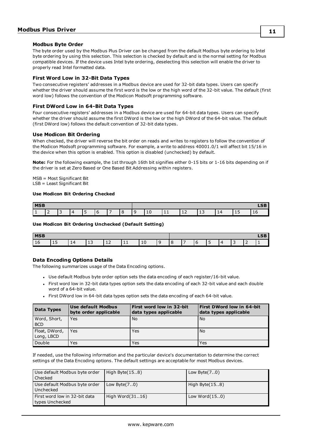#### <span id="page-10-0"></span>**Modbus Byte Order**

The byte order used by the Modbus Plus Driver can be changed from the default Modbus byte ordering to Intel byte ordering by using this selection. This selection is checked by default and is the normal setting for Modbus compatible devices. If the device uses Intel byte ordering, deselecting this selection will enable the driver to properly read Intel formatted data.

#### **First Word Low in 32-Bit Data Types**

Two consecutive registers' addresses in a Modbus device are used for 32-bit data types. Users can specify whether the driver should assume the first word is the low or the high word of the 32-bit value. The default (first word low) follows the convention of the Modicon Modsoft programming software.

### <span id="page-10-2"></span>**First DWord Low in 64-Bit Data Types**

Four consecutive registers' addresses in a Modbus device are used for 64-bit data types. Users can specify whether the driver should assume the first DWord is the low or the high DWord of the 64-bit value. The default (first DWord low) follows the default convention of 32-bit data types.

#### <span id="page-10-3"></span>**Use Modicon Bit Ordering**

When checked, the driver will reverse the bit order on reads and writes to registers to follow the convention of the Modicon Modsoft programming software. For example, a write to address 40001.0/1 will affect bit 15/16 in the device when this option is enabled. This option is disabled (unchecked) by default.

**Note:** For the following example, the 1st through 16th bit signifies either 0-15 bits or 1-16 bits depending on if the driver is set at Zero Based or One Based Bit Addressing within registers.

MSB = Most Significant Bit LSB = Least Significant Bit

#### **Use Modicon Bit Ordering Checked**

| <b>MSB</b> |  |  |          |   |  |        |  |   |           |                      | $\sim$<br>LJL |    |    |    |
|------------|--|--|----------|---|--|--------|--|---|-----------|----------------------|---------------|----|----|----|
|            |  |  | $\Delta$ | - |  | $\sim$ |  | ᅩ | <b>++</b> | $\cdot$ $\sim$<br>ᅩᄼ | د⊥            | 14 | ᅩJ | ΤO |

#### **Use Modicon Bit Ordering Unchecked (Default Setting)**

| <b>MSB</b>           |   |   |                                 |   |            |   |  |  |   | $\sim$ $\sim$ |   |  |
|----------------------|---|---|---------------------------------|---|------------|---|--|--|---|---------------|---|--|
| $\rightarrow$<br>∣⊥∪ | ᅩ | ᆠ | $\overline{\phantom{0}}$<br>ر ⊥ | ᆠ | <b>. .</b> | ᅩ |  |  | ◡ |               | - |  |

#### <span id="page-10-1"></span>**Data Encoding Options Details**

The following summarizes usage of the Data Encoding options.

- Use default Modbus byte order option sets the data encoding of each register/16-bit value.
- First word low in 32-bit data types option sets the data encoding of each 32-bit value and each double word of a 64-bit value.
- First DWord low in 64-bit data types option sets the data encoding of each 64-bit value.

| Data Types                  | Use default Modbus<br>byte order applicable | First word low in 32-bit<br>data types applicable | First DWord low in 64-bit<br>data types applicable |
|-----------------------------|---------------------------------------------|---------------------------------------------------|----------------------------------------------------|
| Word, Short,<br><b>BCD</b>  | Yes                                         | No                                                | No                                                 |
| Float, DWord,<br>Long, LBCD | Yes                                         | Yes                                               | No                                                 |
| Double                      | Yes                                         | Yes                                               | Yes                                                |

If needed, use the following information and the particular device's documentation to determine the correct settings of the Data Encoding options. The default settings are acceptable for most Modbus devices.

| Use default Modbus byte order<br>Checked         | High Byte $(158)$  | Low Byte $(7.0)$  |
|--------------------------------------------------|--------------------|-------------------|
| Use default Modbus byte order<br>Unchecked       | Low Byte $(70)$    | High Byte $(158)$ |
| First word low in 32-bit data<br>types Unchecked | High Word $(3116)$ | Low Word $(150)$  |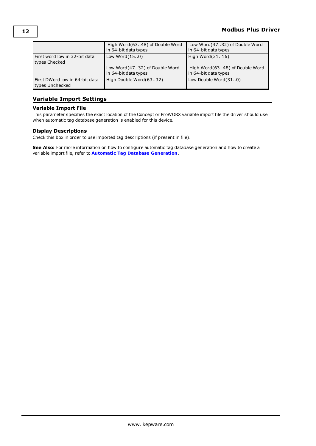|                                                   | High Word(6348) of Double Word | Low Word(4732) of Double Word  |
|---------------------------------------------------|--------------------------------|--------------------------------|
|                                                   | in 64-bit data types           | in 64-bit data types           |
| First word low in 32-bit data<br>types Checked    | Low Word $(150)$               | High Word(3116)                |
|                                                   | Low Word(4732) of Double Word  | High Word(6348) of Double Word |
|                                                   | in 64-bit data types           | in 64-bit data types           |
| First DWord low in 64-bit data<br>types Unchecked | High Double Word(6332)         | Low Double Word(310)           |

## <span id="page-11-0"></span>**Variable Import Settings**

## <span id="page-11-1"></span>**Variable Import File**

This parameter specifies the exact location of the Concept or ProWORX variable import file the driver should use when automatic tag database generation is enabled for this device.

## <span id="page-11-2"></span>**Display Descriptions**

Check this box in order to use imported tag descriptions (if present in file).

**See Also:** For more information on how to configure automatic tag database generation and how to create a variable import file, refer to **Automatic Tag Database [Generation](#page-12-0)**.

**12**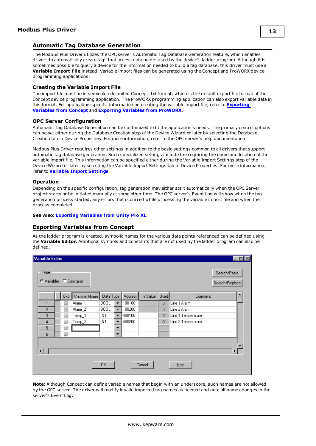## <span id="page-12-0"></span>**Automatic Tag Database Generation**

The Modbus Plus Driver utilizes the OPC server's Automatic Tag Database Generation feature, which enables drivers to automatically create tags that access data points used by the device's ladder program. Although it is sometimes possible to query a device for the information needed to build a tag database, this driver must use a **Variable Import File** instead. Variable import files can be generated using the Concept and ProWORX device programming applications.

#### <span id="page-12-3"></span>**Creating the Variable Import File**

The import file must be in semicolon delimited Concept .txt format, which is the default export file format of the Concept device programming application. The ProWORX programming application can also export variable data in this format. For application-specific information on creating the variable import file, refer to **[Exporting](#page-12-1) [Variables](#page-12-1) from Concept** and **[Exporting](#page-14-0) Variables from ProWORX**.

#### <span id="page-12-2"></span>**OPC Server Configuration**

Automatic Tag Database Generation can be customized to fit the application's needs. The primary control options can be set either during the Database Creation step of the Device Wizard or later by selecting the Database Creation tab in Device Properties. For more information, refer to the OPC server's help documentation.

Modbus Plus Driver requires other settings in addition to the basic settings common to all drivers that support automatic tag database generation. Such specialized settings include the requiring the name and location of the variable import file. This information can be specified either during the Variable Import Settings step of the Device Wizard or later by selecting the Variable Import Settings tab in Device Properties. For more information, refer to **Variable Import [Settings](#page-11-0)**.

#### **Operation**

Depending on the specific configuration, tag generation may either start automatically when the OPC Server project starts or be initiated manually at some other time. The OPC server's Event Log will show when the tag generation process started, any errors that occurred while processing the variable import file and when the process completed.

#### <span id="page-12-1"></span>**See Also: [Exporting](#page-15-0) Variables from Unity Pro XL**

## **Exporting Variables from Concept**

As the ladder program is created, symbolic names for the various data points referenced can be defined using the **Variable Editor**. Additional symbols and constants that are not used by the ladder program can also be defined.

| <b>Variable Editor</b>          |     |               |             |                          |         |           |                   |                    | $\Box$ o $\mathbf{x}$          |  |
|---------------------------------|-----|---------------|-------------|--------------------------|---------|-----------|-------------------|--------------------|--------------------------------|--|
| Type<br>© Variables © Constants |     |               |             |                          |         |           |                   |                    | Search/Paste<br>Search/Replace |  |
|                                 | Exp | Variable Name | Data Type   |                          | Address | InitValue | Used <sup>1</sup> | Comment            |                                |  |
|                                 |     | Alarm_1       | <b>BOOL</b> | ۰                        | 100100  |           | $\overline{0}$    | Line 1 Alarm       |                                |  |
| $\overline{c}$                  | п   | Alarm_2       | <b>BOOL</b> | $\overline{\phantom{0}}$ | 100200  |           | $\overline{0}$    | Line 2 Alarm       |                                |  |
| 3                               | n l | Temp_1        | INT         | $\overline{\phantom{a}}$ | 400100  |           | $\overline{0}$    | Line 1 Temperature |                                |  |
| 4                               | n f | Temp_2        | INT         | $\overline{\phantom{a}}$ | 400200  |           | $\overline{0}$    | Line 2 Temperature |                                |  |
| 5                               | ┚   |               |             | ▼                        |         |           |                   |                    |                                |  |
| 6                               | n f |               |             | $\overline{\phantom{0}}$ |         |           |                   |                    |                                |  |
| ⊣                               |     |               | 0K          |                          |         | Cancel    |                   | $He$ lp            | $\blacktriangleright$          |  |

**Note:** Although Concept can define variable names that begin with an underscore, such names are not allowed by the OPC server. The driver will modify invalid imported tag names as needed and note all name changes in the server's Event Log.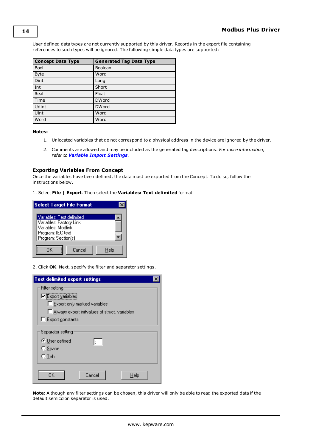User defined data types are not currently supported by this driver. Records in the export file containing references to such types will be ignored. The following simple data types are supported:

| <b>Concept Data Type</b> | <b>Generated Tag Data Type</b> |
|--------------------------|--------------------------------|
| <b>Bool</b>              | Boolean                        |
| <b>Byte</b>              | Word                           |
| Dint                     | Long                           |
| Int                      | Short                          |
| Real                     | Float                          |
| Time                     | <b>DWord</b>                   |
| Udint                    | <b>DWord</b>                   |
| Uint                     | Word                           |
| Word                     | Word                           |

#### **Notes:**

- 1. Unlocated variables that do not correspond to a physical address in the device are ignored by the driver.
- 2. Comments are allowed and may be included as the generated tag descriptions. *For more information, refer to Variable Import [Settings](#page-11-0)*.

#### <span id="page-13-0"></span>**Exporting Variables From Concept**

Once the variables have been defined, the data must be exported from the Concept. To do so, follow the instructions below.

1. Select **File | Export**. Then select the **Variables: Text delimited** format.

| <b>Select Target File Format</b>                                                                                       |      |
|------------------------------------------------------------------------------------------------------------------------|------|
| Variables: Text delimited<br>Variables: Factory Link<br>Variables: Modlink<br>Program: IEC text<br>Program: Section(s) |      |
| Cancel<br>пĸ                                                                                                           | Help |

2. Click **OK**. Next, specify the filter and separator settings.



**Note:** Although any filter settings can be chosen, this driver will only be able to read the exported data if the default semicolon separator is used.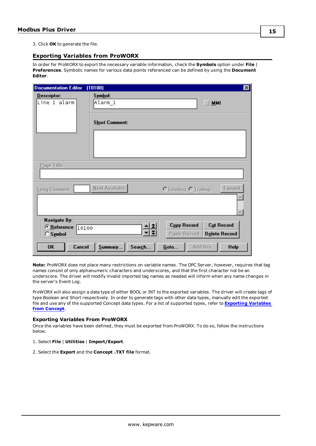<span id="page-14-0"></span>3. Click **OK** to generate the file.

## **Exporting Variables from ProWORX**

In order for ProWORX to export the necessary variable information, check the **Symbols** option under **File** | **Preferences**. Symbolic names for various data points referenced can be defined by using the **Document Editor**.

| <b>Documentation Editor</b>                                               | (10100)                                     | ⊠                                                                                                    |
|---------------------------------------------------------------------------|---------------------------------------------|------------------------------------------------------------------------------------------------------|
| Descriptor:<br>Line 1 alarm                                               | Symbol:<br>Alarm_l<br><b>Short Comment:</b> | <b>MMI</b>                                                                                           |
| Page Title:                                                               |                                             |                                                                                                      |
| Long Comment:                                                             | Next Available                              | Egpand<br>O Leading O Trailing                                                                       |
| Navigate By:<br>© Reference<br>10100<br>$C$ Symbol<br><b>OK</b><br>Cancel | Summary<br>Search                           | <b>Copy Record</b><br>Cut Record<br>Delete Record<br>Paste Record<br>Goto<br>Add Bits<br><b>Help</b> |

**Note:** ProWORX does not place many restrictions on variable names. The OPC Server, however, requires that tag names consist of only alphanumeric characters and underscores, and that the first character not be an underscore. The driver will modify invalid imported tag names as needed will inform when any name changes in the server's Event Log.

ProWORX will also assign a data type of either BOOL or INT to the exported variables. The driver will create tags of type Boolean and Short respectively. In order to generate tags with other data types, manually edit the exported file and use any of the supported Concept data types. For a list of supported types, refer to **[Exporting](#page-12-1) Variables from [Concept](#page-12-1)**.

## <span id="page-14-1"></span>**Exporting Variables From ProWORX**

Once the variables have been defined, they must be exported from ProWORX. To do so, follow the instructions below.

#### 1. Select **File** | **Utilities** | **Import/Export**.

2. Select the **Export** and the **Concept .TXT file** format.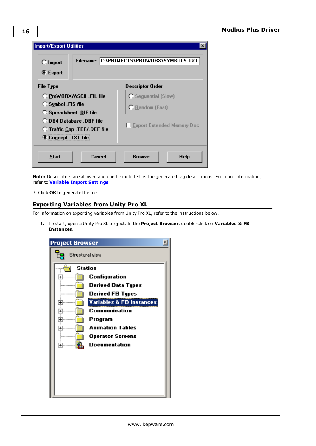| $\bigcirc$ Import<br><b>■</b> Export                                                 |                                                                                              | Filename: C:\PROJECTS\PROWORX\SYMBOLS.TXT                                                 |
|--------------------------------------------------------------------------------------|----------------------------------------------------------------------------------------------|-------------------------------------------------------------------------------------------|
| File Type                                                                            |                                                                                              | <b>Descriptor Order</b>                                                                   |
| $\bigcirc$ Symbol . FIS file<br><b>O</b> Spreadsheet .DIF file<br>C Concept TXT file | O ProWORX/ASCII .FIL file<br>O DB4 Database .DBF file<br><b>O</b> Traffic Cop .TEF/.DEF file | <b>C</b> Sequential (Slow)<br><b>O</b> Random (Fast)<br><b>Export Extended Memory Doc</b> |
| <b>Start</b>                                                                         | Cancel                                                                                       | <b>Help</b><br><b>Browse</b>                                                              |

**Note:** Descriptors are allowed and can be included as the generated tag descriptions. For more information, refer to **Variable Import [Settings](#page-11-0)**.

<span id="page-15-0"></span>3. Click **OK** to generate the file.

## <span id="page-15-1"></span>**Exporting Variables from Unity Pro XL**

For information on exporting variables from Unity Pro XL, refer to the instructions below.

1. To start, open a Unity Pro XL project. In the **Project Browser**, double-click on **Variables & FB Instances**.

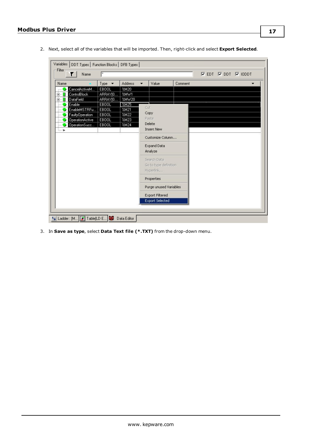×.

2. Next, select all of the variables that will be imported. Then, right-click and select **Export Selected**.

| Name               | Type $\blacktriangledown$ | Address | ▼   | Value                                             | Comment |  |  |
|--------------------|---------------------------|---------|-----|---------------------------------------------------|---------|--|--|
| CancelActiveM      | EBOOL                     | %M20    |     |                                                   |         |  |  |
| ControlBlock<br>田… | ARRAY[0                   | %MW1    |     |                                                   |         |  |  |
| DataField<br>中…    | ARRAY[0                   | %MW20   |     |                                                   |         |  |  |
| Enable             | EBOOL                     | %M25    |     |                                                   |         |  |  |
| EnableMSTRFu       | EBOOL                     | %M21    | Cut |                                                   |         |  |  |
| FaultyOperation    | EBOOL                     | %M22    |     | Copy                                              |         |  |  |
| OperationActive    | EBOOL                     | %M23    |     | Paste                                             |         |  |  |
| OperationSucc      | EBOOL                     | %M24    |     | Delete                                            |         |  |  |
| <b>Same Bay</b>    |                           |         |     | <b>Insert New</b>                                 |         |  |  |
|                    |                           |         |     | Customize Column                                  |         |  |  |
|                    |                           |         |     | Expand Data<br>Analyze                            |         |  |  |
|                    |                           |         |     | Search Data<br>Go to type definition<br>Hyperlink |         |  |  |
|                    |                           |         |     | Properties                                        |         |  |  |
|                    |                           |         |     | Purge unused Variables                            |         |  |  |
|                    |                           |         |     | <b>Export Filtered</b>                            |         |  |  |
|                    |                           |         |     | <b>Export Selected</b>                            |         |  |  |

3. In **Save as type**, select **Data Text file (\*.TXT)** from the drop-down menu.

 $\mathcal{L}$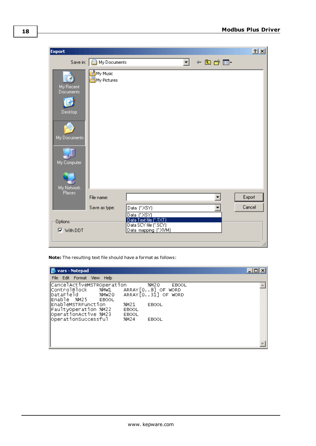| <b>Export</b>                                                                         |                                  |                                                                         | 2X     |
|---------------------------------------------------------------------------------------|----------------------------------|-------------------------------------------------------------------------|--------|
|                                                                                       | Save in: <b>B</b> My Documents   | ←国合画・<br>Н                                                              |        |
| My Recent<br><b>Documents</b><br>Desktop<br>My Documents<br>My Computer<br>My Network | My Music<br><b>凸</b> My Pictures |                                                                         |        |
| Places                                                                                | File name:                       |                                                                         | Export |
|                                                                                       | Save as type:                    | Data (".XSY)<br>Data ("XSY)                                             | Cancel |
| Options                                                                               |                                  |                                                                         |        |
| <b>▽</b> With DDT                                                                     |                                  | Data Text file (* TXT)<br>Data SCY file (* SCY)<br>Data mapping (* XVM) |        |
|                                                                                       |                                  |                                                                         |        |

**Note:** The resulting text file should have a format as follows:

| <b>Notepad</b>                                                                                   |                                                              | -10 |
|--------------------------------------------------------------------------------------------------|--------------------------------------------------------------|-----|
| File Edit Format View Help                                                                       |                                                              |     |
| CancelActiveMSTROperation<br> ⊂ontrolвlock<br>%MW⊥<br>DataField<br>% MW 20<br> Enable %M25 EBOOL | %M20<br>EBOOL<br>$ARRAY[08]$ OF WORD<br>$ARRAY[031]$ OF WORD |     |
| EnableMSTRFunction<br>FaultyOperation %M22<br>OperationActive %M23                               | %M21<br>EBOOL<br>EBOOL<br>EBOOL                              |     |
| operationSuccessful                                                                              | %M24<br>EBOOL                                                |     |
|                                                                                                  |                                                              |     |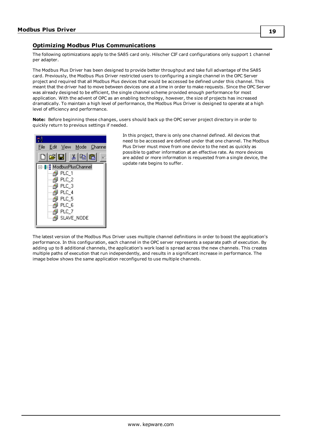## <span id="page-18-2"></span><span id="page-18-0"></span>**Optimizing Modbus Plus Communications**

The following optimizations apply to the SA85 card only. Hilscher CIF card configurations only support 1 channel per adapter.

The Modbus Plus Driver has been designed to provide better throughput and take full advantage of the SA85 card. Previously, the Modbus Plus Driver restricted users to configuring a single channel in the OPC Server project and required that all Modbus Plus devices that would be accessed be defined under this channel. This meant that the driver had to move between devices one at a time in order to make requests. Since the OPC Server was already designed to be efficient, the single channel scheme provided enough performance for most application. With the advent of OPC as an enabling technology, however, the size of projects has increased dramatically. To maintain a high level of performance, the Modbus Plus Driver is designed to operate at a high level of efficiency and performance.

**Note:** Before beginning these changes, users should back up the OPC server project directory in order to quickly return to previous settings if needed.



In this project, there is only one channel defined. All devices that need to be accessed are defined under that one channel. The Modbus Plus Driver must move from one device to the next as quickly as possible to gather information at an effective rate. As more devices are added or more information is requested from a single device, the update rate begins to suffer.

<span id="page-18-1"></span>The latest version of the Modbus Plus Driver uses multiple channel definitions in order to boost the application's performance. In this configuration, each channel in the OPC server represents a separate path of execution. By adding up to 8 additional channels, the application's work load is spread across the new channels. This creates multiple paths of execution that run independently, and results in a significant increase in performance. The image below shows the same application reconfigured to use multiple channels.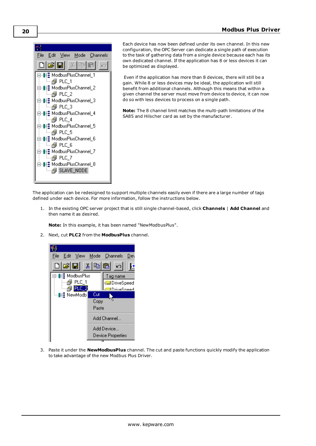

Each device has now been defined under its own channel. In this new configuration, the OPC Server can dedicate a single path of execution to the task of gathering data from a single device because each has its own dedicated channel. If the application has 8 or less devices it can be optimized as displayed.

Even if the application has more than 8 devices, there will still be a gain. While 8 or less devices may be ideal, the application will still benefit from additional channels. Although this means that within a given channel the server must move from device to device, it can now do so with less devices to process on a single path.

**Note:** The 8 channel limit matches the multi-path limitations of the SA85 and Hilscher card as set by the manufacturer.

The application can be redesigned to support multiple channels easily even if there are a large number of tags defined under each device. For more information, follow the instructions below.

<span id="page-19-0"></span>1. In the existing OPC server project that is still single channel-based, click **Channels** | **Add Channel** and then name it as desired.

**Note:** In this example, it has been named "NewModbusPlus".

2. Next, cut **PLC2** from the **ModbusPlus** channel.



3. Paste it under the **NewModbusPlus** channel. The cut and paste functions quickly modify the application to take advantage of the new Modbus Plus Driver.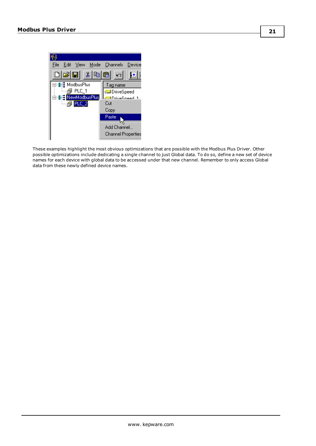

<span id="page-20-0"></span>These examples highlight the most obvious optimizations that are possible with the Modbus Plus Driver. Other possible optimizations include dedicating a single channel to just Global data. To do so, define a new set of device names for each device with global data to be accessed under that new channel. Remember to only access Global data from these newly defined device names.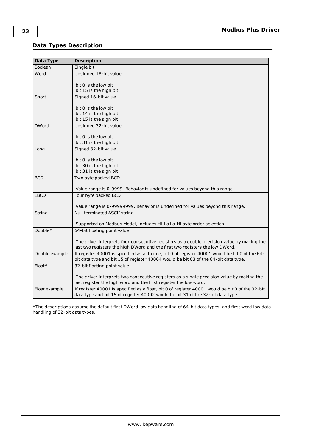## <span id="page-21-0"></span>**Data Types Description**

<span id="page-21-11"></span><span id="page-21-10"></span><span id="page-21-8"></span><span id="page-21-7"></span><span id="page-21-6"></span><span id="page-21-3"></span><span id="page-21-2"></span><span id="page-21-1"></span>

| Data Type      | <b>Description</b>                                                                              |
|----------------|-------------------------------------------------------------------------------------------------|
| Boolean        | Single bit                                                                                      |
| Word           | Unsigned 16-bit value                                                                           |
|                |                                                                                                 |
|                | bit 0 is the low bit<br>bit 15 is the high bit                                                  |
| Short          | Signed 16-bit value                                                                             |
|                |                                                                                                 |
|                | bit 0 is the low bit                                                                            |
|                | bit 14 is the high bit                                                                          |
|                | bit 15 is the sign bit                                                                          |
| <b>DWord</b>   | Unsigned 32-bit value                                                                           |
|                | bit 0 is the low bit                                                                            |
|                | bit 31 is the high bit                                                                          |
| Long           | Signed 32-bit value                                                                             |
|                |                                                                                                 |
|                | bit 0 is the low bit                                                                            |
|                | bit 30 is the high bit                                                                          |
|                | bit 31 is the sign bit                                                                          |
| <b>BCD</b>     | Two byte packed BCD                                                                             |
|                | Value range is 0-9999. Behavior is undefined for values beyond this range.                      |
| <b>LBCD</b>    | Four byte packed BCD                                                                            |
|                |                                                                                                 |
|                | Value range is 0-99999999. Behavior is undefined for values beyond this range.                  |
| String         | Null terminated ASCII string                                                                    |
|                | Supported on Modbus Model, includes Hi-Lo Lo-Hi byte order selection.                           |
| Double*        | 64-bit floating point value                                                                     |
|                |                                                                                                 |
|                | The driver interprets four consecutive registers as a double precision value by making the      |
|                | last two registers the high DWord and the first two registers the low DWord.                    |
| Double example | If register 40001 is specified as a double, bit 0 of register 40001 would be bit 0 of the 64-   |
|                | bit data type and bit 15 of register 40004 would be bit 63 of the 64-bit data type.             |
| Float*         | 32-bit floating point value                                                                     |
|                | The driver interprets two consecutive registers as a single precision value by making the       |
|                | last register the high word and the first register the low word.                                |
| Float example  | If register 40001 is specified as a float, bit 0 of register 40001 would be bit 0 of the 32-bit |
|                | data type and bit 15 of register 40002 would be bit 31 of the 32-bit data type.                 |

<span id="page-21-9"></span><span id="page-21-5"></span><span id="page-21-4"></span>\*The descriptions assume the default first DWord low data handling of 64-bit data types, and first word low data handling of 32-bit data types.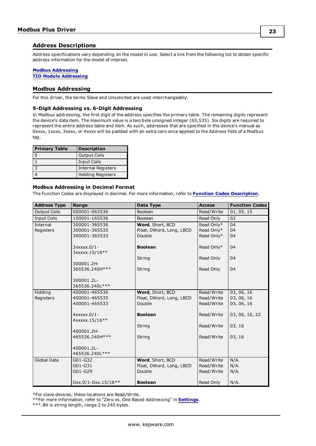## <span id="page-22-0"></span>**Address Descriptions**

Address specifications vary depending on the model in use. Select a link from the following list to obtain specific address information for the model of interest.

### **Modbus [Addressing](#page-22-1)**

<span id="page-22-1"></span>**TIO Module [Addressing](#page-25-0)**

## **Modbus Addressing**

<span id="page-22-2"></span>For this driver, the terms Slave and Unsolicited are used interchangeably.

#### **5-Digit Addressing vs. 6-Digit Addressing**

In Modbus addressing, the first digit of the address specifies the primary table. The remaining digits represent the device's data item. The maximum value is a two byte unsigned integer (65,535). Six digits are required to represent the entire address table and item. As such, addresses that are specified in the device's manual as 0xxxx, 1xxxx, 3xxxx, or 4xxxx will be padded with an extra zero once applied to the Address field of a Modbus tag.

<span id="page-22-8"></span><span id="page-22-7"></span><span id="page-22-6"></span>

| <b>Primary Table</b> | <b>Description</b>       |
|----------------------|--------------------------|
|                      | <b>Output Coils</b>      |
|                      | Input Coils              |
| $\mathbf{c}$         | Internal Registers       |
|                      | <b>Holding Registers</b> |

#### <span id="page-22-5"></span><span id="page-22-4"></span><span id="page-22-3"></span>**Modbus Addressing in Decimal Format**

The Function Codes are displayed in decimal. For more information, refer to **Function Codes [Description](#page-24-0)**.

| <b>Address Type</b> | Range               | Data Type                | <b>Access</b> | <b>Function Codes</b> |
|---------------------|---------------------|--------------------------|---------------|-----------------------|
| <b>Output Coils</b> | 000001-065536       | Boolean                  | Read/Write    | 01, 05, 15            |
| <b>Input Coils</b>  | 100001-165536       | Boolean                  | Read Only     | 02                    |
| Internal            | 300001-365536       | Word, Short, BCD         | Read Only*    | 04                    |
| Registers           | 300001-365535       | Float, DWord, Long, LBCD | Read Only*    | 04                    |
|                     | 300001-365533       | Double                   | Read Only*    | 04                    |
|                     | 3xxxxx.0/1-         | <b>Boolean</b>           | Read Only*    | 04                    |
|                     | 3xxxxx.15/16**      | String                   | Read Only     | 04                    |
|                     | 300001.2H-          |                          |               |                       |
|                     | 365536.240H ***     | String                   | Read Only     | 04                    |
|                     | 300001.2L-          |                          |               |                       |
|                     | 365536.240L***      |                          |               |                       |
| Holding             | 400001-465536       | Word, Short, BCD         | Read/Write    | 03, 06, 16            |
| Registers           | 400001-465535       | Float, DWord, Long, LBCD | Read/Write    | 03, 06, 16            |
|                     | 400001-465533       | Double                   | Read/Write    | 03, 06, 16            |
|                     | 4xxxxx.0/1-         | <b>Boolean</b>           | Read/Write    | 03, 06, 16, 22        |
|                     | 4xxxxx.15/16**      |                          |               |                       |
|                     |                     | String                   | Read/Write    | 03, 16                |
|                     | 400001.2H-          |                          |               |                       |
|                     | 465536.240H***      | String                   | Read/Write    | 03, 16                |
|                     | 400001.2L-          |                          |               |                       |
|                     | 465536.240L***      |                          |               |                       |
| <b>Global Data</b>  | G01-G32             | Word, Short, BCD         | Read/Write    | N/A.                  |
|                     | G01-G31             | Float, DWord, Long, LBCD | Read/Write    | N/A.                  |
|                     | G01-G29             | Double                   | Read/Write    | N/A.                  |
|                     | Gxx.0/1-Gxx.15/16** | <b>Boolean</b>           | Read Only     | N/A.                  |

\*For slave devices, these locations are Read/Write.

\*\*For more information, refer to "Zero vs. One Based Addressing" in **[Settings](#page-8-1)**.

\*\*\*.Bit is string length, range 2 to 240 bytes.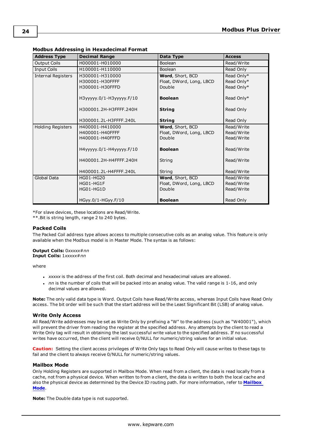| <b>Address Type</b>       | <b>Decimal Range</b>      | Data Type                | <b>Access</b> |
|---------------------------|---------------------------|--------------------------|---------------|
| <b>Output Coils</b>       | H000001-H010000           | Boolean                  | Read/Write    |
| <b>Input Coils</b>        | H100001-H110000           | Boolean                  | Read Only     |
| <b>Internal Registers</b> | H300001-H310000           | Word, Short, BCD         | Read Only*    |
|                           | H300001-H30FFFF           | Float, DWord, Long, LBCD | Read Only*    |
|                           | H300001-H30FFFD           | Double                   | Read Only*    |
|                           | НЗууууу.0/1-НЗууууу. F/10 | <b>Boolean</b>           | Read Only*    |
|                           | H300001.2H-H3FFFF.240H    | <b>String</b>            | Read Only     |
|                           | H300001.2L-H3FFFF.240L    | <b>String</b>            | Read Only     |
| Holding Registers         | H400001-H410000           | Word, Short, BCD         | Read/Write    |
|                           | H400001-H40FFFF           | Float, DWord, Long, LBCD | Read/Write    |
|                           | H400001-H40FFFD           | Double                   | Read/Write    |
|                           | H4yyyyy.0/1-H4yyyyy.F/10  | <b>Boolean</b>           | Read/Write    |
|                           | H400001.2H-H4FFFF.240H    | String                   | Read/Write    |
|                           | H400001.2L-H4FFFF.240L    | String                   | Read/Write    |
| Global Data               | HG01-HG20                 | Word, Short, BCD         | Read/Write    |
|                           | HG01-HG1F                 | Float, DWord, Long, LBCD | Read/Write    |
|                           | HG01-HG1D                 | Double                   | Read/Write    |
|                           |                           |                          |               |
|                           | HGyy.0/1-HGyy.F/10        | <b>Boolean</b>           | Read Only     |

### <span id="page-23-0"></span>**Modbus Addressing in Hexadecimal Format**

\*For slave devices, these locations are Read/Write.

<span id="page-23-2"></span>\*\*.Bit is string length, range 2 to 240 bytes.

## **Packed Coils**

The Packed Coil address type allows access to multiple consecutive coils as an analog value. This feature is only available when the Modbus model is in Master Mode. The syntax is as follows:

#### **Output Coils:** 0*xxxxx*#*nn* **Input Coils:** 1*xxxxx*#*nn*

where

- *xxxxx* is the address of the first coil. Both decimal and hexadecimal values are allowed.
- *nn* is the number of coils that will be packed into an analog value. The valid range is 1-16, and only decimal values are allowed.

**Note:** The only valid data type is Word. Output Coils have Read/Write access, whereas Input Coils have Read Only access. The bit order will be such that the start address will be the Least Significant Bit (LSB) of analog value.

#### <span id="page-23-3"></span>**Write Only Access**

All Read/Write addresses may be set as Write Only by prefixing a "W" to the address (such as "W40001"), which will prevent the driver from reading the register at the specified address. Any attempts by the client to read a Write Only tag will result in obtaining the last successful write value to the specified address. If no successful writes have occurred, then the client will receive 0/NULL for numeric/string values for an initial value.

**Caution:** Setting the client access privileges of Write Only tags to Read Only will cause writes to these tags to fail and the client to always receive 0/NULL for numeric/string values.

#### <span id="page-23-1"></span>**Mailbox Mode**

Only Holding Registers are supported in Mailbox Mode. When read from a client, the data is read locally from a cache, not from a physical device. When written to from a client, the data is written to both the local cache and also the physical device as determined by the Device ID routing path. For more information, refer to **[Mailbox](#page-5-0) [Mode](#page-5-0)**.

**Note:** The Double data type is not supported.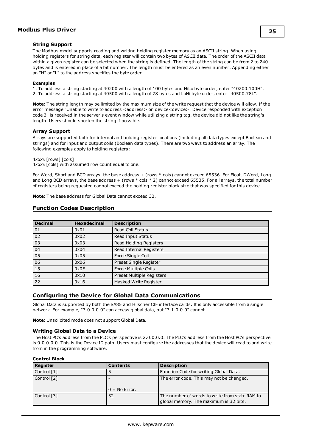#### <span id="page-24-14"></span>**String Support**

The Modbus model supports reading and writing holding register memory as an ASCII string. When using holding registers for string data, each register will contain two bytes of ASCII data. The order of the ASCII data within a given register can be selected when the string is defined. The length of the string can be from 2 to 240 bytes and is entered in place of a bit number. The length must be entered as an even number. Appending either an "H" or "L" to the address specifies the byte order.

#### **Examples**

1. To address a string starting at 40200 with a length of 100 bytes and HiLo byte order, enter "40200.100H". 2. To address a string starting at 40500 with a length of 78 bytes and LoHi byte order, enter "40500.78L".

**Note:** The string length may be limited by the maximum size of the write request that the device will allow. If the error message "Unable to write to address <address> on device<device>: Device responded with exception code 3" is received in the server's event window while utilizing a string tag, the device did not like the string's length. Users should shorten the string if possible.

#### <span id="page-24-2"></span>**Array Support**

Arrays are supported both for internal and holding register locations (including all data types except Boolean and strings) and for input and output coils (Boolean data types). There are two ways to address an array. The following examples apply to holding registers:

4*xxxx* [rows] [cols] 4*xxxx* [cols] with assumed row count equal to one.

For Word, Short and BCD arrays, the base address + (rows  $*$  cols) cannot exceed 65536. For Float, DWord, Long and Long BCD arrays, the base address + (rows \* cols \* 2) cannot exceed 65535. For all arrays, the total number of registers being requested cannot exceed the holding register block size that was specified for this device.

<span id="page-24-0"></span>**Note:** The base address for Global Data cannot exceed 32.

<span id="page-24-13"></span><span id="page-24-12"></span><span id="page-24-11"></span><span id="page-24-10"></span><span id="page-24-9"></span><span id="page-24-5"></span><span id="page-24-3"></span>

| <b>Decimal</b> | <b>Hexadecimal</b> | <b>Description</b>        |
|----------------|--------------------|---------------------------|
| 01             | 0x01               | <b>Read Coil Status</b>   |
| 02             | 0x02               | Read Input Status         |
| 03             | 0x03               | Read Holding Registers    |
| 04             | 0x04               | Read Internal Registers   |
| 05             | 0x05               | Force Single Coil         |
| 06             | 0x06               | Preset Single Register    |
| 15             | 0x0F               | Force Multiple Coils      |
| 16             | 0x10               | Preset Multiple Registers |
| 22             | 0x16               | Masked Write Register     |

### **Function Codes Description**

## <span id="page-24-8"></span><span id="page-24-7"></span><span id="page-24-4"></span><span id="page-24-1"></span>**Configuring the Device for Global Data Communications**

Global Data is supported by both the SA85 and Hilscher CIF interface cards. It is only accessible from a single network. For example, "7.0.0.0.0" can access global data, but "7.1.0.0.0" cannot.

<span id="page-24-6"></span>**Note:** Unsolicited mode does not support Global Data.

#### **Writing Global Data to a Device**

The Host PC's address from the PLC's perspective is 2.0.0.0.0. The PLC's address from the Host PC's perspective is 9.0.0.0.0. This is the Device ID path. Users must configure the addresses that the device will read to and write from in the programming software.

#### **Control Block**

| Register    | <b>Contents</b> | <b>Description</b>                                                                       |
|-------------|-----------------|------------------------------------------------------------------------------------------|
| Control [1] |                 | Function Code for writing Global Data.                                                   |
| Control [2] | $0 = No Error.$ | The error code. This may not be changed.                                                 |
| Control [3] | 32              | The number of words to write from state RAM to<br>global memory. The maximum is 32 bits. |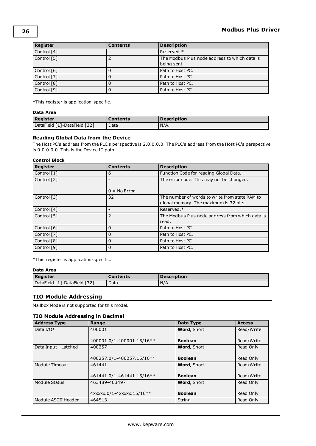| <b>Register</b> | <b>Contents</b> | <b>Description</b>                                           |
|-----------------|-----------------|--------------------------------------------------------------|
| Control [4]     |                 | Reserved.*                                                   |
| Control [5]     |                 | The Modbus Plus node address to which data is<br>being sent. |
| Control [6]     |                 | Path to Host PC.                                             |
| Control [7]     |                 | Path to Host PC.                                             |
| Control [8]     |                 | Path to Host PC.                                             |
| Control [9]     |                 | Path to Host PC.                                             |

\*This register is application-specific.

## **Data Area**

| <b>Register</b>              | Contents | <b>Description</b> |
|------------------------------|----------|--------------------|
| DataField [1]-DataField [32] | Data     | $N/A$ .            |

## **Reading Global Data from the Device**

The Host PC's address from the PLC's perspective is 2.0.0.0.0. The PLC's address from the Host PC's perspective is 9.0.0.0.0. This is the Device ID path.

### **Control Block**

| <b>Register</b> | <b>Contents</b> | <b>Description</b>                              |
|-----------------|-----------------|-------------------------------------------------|
| Control [1]     | 6               | Function Code for reading Global Data.          |
| Control [2]     |                 | The error code. This may not be changed.        |
|                 | $0 = No Error.$ |                                                 |
| Control [3]     | 32              | The number of words to write from state RAM to  |
|                 |                 | global memory. The maximum is 32 bits.          |
| Control [4]     |                 | Reserved.*                                      |
| Control [5]     | $\overline{2}$  | The Modbus Plus node address from which data is |
|                 |                 | read.                                           |
| Control [6]     | 0               | Path to Host PC.                                |
| Control [7]     | 0               | Path to Host PC.                                |
| Control [8]     | 0               | Path to Host PC.                                |
| Control [9]     | 0               | Path to Host PC.                                |

\*This register is application-specific.

## **Data Area**

| <b>Register</b>              | <b>Contents</b> | <b>Description</b> |
|------------------------------|-----------------|--------------------|
| DataField [1]-DataField [32] | Data            | $N/A$ .            |

## <span id="page-25-0"></span>**TIO Module Addressing**

Mailbox Mode is not supported for this model.

## **TIO Module Addressing in Decimal**

| <b>Address Type</b>  | Range                     | Data Type          | <b>Access</b> |
|----------------------|---------------------------|--------------------|---------------|
| Data I/O $*$         | 400001                    | <b>Word, Short</b> | Read/Write    |
|                      | 400001.0/1-400001.15/16** | <b>Boolean</b>     | Read/Write    |
| Data Input - Latched | 400257                    | <b>Word, Short</b> | Read Only     |
|                      | 400257.0/1-400257.15/16** | <b>Boolean</b>     | Read Only     |
| Module Timeout       | 461441                    | <b>Word, Short</b> | Read/Write    |
|                      | 461441.0/1-461441.15/16** | <b>Boolean</b>     | Read/Write    |
| Module Status        | 463489-463497             | <b>Word, Short</b> | Read Only     |
|                      | 4xxxxx.0/1-4xxxxx.15/16** | <b>Boolean</b>     | Read Only     |
| Module ASCII Header  | 464513                    | String             | Read Only     |

**26**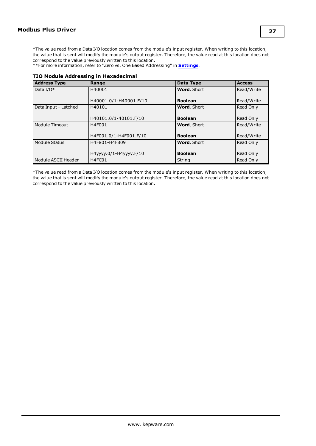\*The value read from a Data I/O location comes from the module's input register. When writing to this location, the value that is sent will modify the module's output register. Therefore, the value read at this location does not correspond to the value previously written to this location.

<span id="page-26-0"></span>\*\*For more information, refer to "Zero vs. One Based Addressing" in **[Settings](#page-8-1)**.

#### **TIO Module Addressing in Hexadecimal**

| <b>Address Type</b>           | Range                  | Data Type          | <b>Access</b> |
|-------------------------------|------------------------|--------------------|---------------|
| Data $I/O^*$                  | H40001                 | Word, Short        | Read/Write    |
|                               |                        |                    |               |
|                               | H40001.0/1-H40001.F/10 | <b>Boolean</b>     | Read/Write    |
| Data Input - Latched          | H40101                 | <b>Word, Short</b> | Read Only     |
|                               |                        |                    |               |
|                               | H40101.0/1-40101.F/10  | <b>Boolean</b>     | Read Only     |
| Module Timeout                | H4F001                 | <b>Word, Short</b> | Read/Write    |
|                               |                        |                    |               |
|                               | H4F001.0/1-H4F001.F/10 | <b>Boolean</b>     | Read/Write    |
| Module Status                 | H4F801-H4F809          | Word, Short        | Read Only     |
|                               |                        |                    |               |
|                               | H4yyyy.0/1-H4yyyy.F/10 | <b>Boolean</b>     | Read Only     |
| Module ASCII Header<br>H4FC01 |                        | String             | Read Only     |

\*The value read from a Data I/O location comes from the module's input register. When writing to this location, the value that is sent will modify the module's output register. Therefore, the value read at this location does not correspond to the value previously written to this location.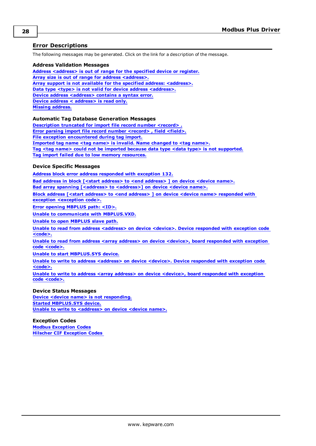## <span id="page-27-0"></span>**Error Descriptions**

<span id="page-27-1"></span>The following messages may be generated. Click on the link for a description of the message.

#### **Address Validation Messages**

**Address [<address>](#page-28-0) is out of range for the specified device or register. Array size is out of range for address [<address>.](#page-28-1) Array support is not available for the specified address: [<address>.](#page-28-2) Data type <type> is not valid for device address [<address>.](#page-28-3) Device address [<address>](#page-28-4)** contains a syntax error. **Device address < [address>](#page-28-5) is read only. Missing [address.](#page-29-0)**

#### **Automatic Tag Database Generation Messages**

**[Description](#page-29-1) truncated for import file record number <record> . Error parsing import file record number [<record>](#page-29-2) , field <field>. File exception [encountered](#page-29-3) during tag import. [Imported](#page-29-4) tag name <tag name> is invalid. Name changed to <tag name>. Tag <tag name> could not be imported because data type <data type> is not [supported.](#page-30-0) Tag import failed due to low memory [resources.](#page-30-1)**

## **Device Specific Messages**

**Address block error address [responded](#page-30-2) with exception 132.**

**Bad address in block [<start address> to <end [address>](#page-30-3) ] on device <device name>.**

Bad array spanning [\[<address>](#page-30-4) to <address>] on device <device name>.

**Block address [<start address> to <end address> ] on device <device name> [responded](#page-31-0) with exception [<exception](#page-31-0) code>.**

**Error opening [MBPLUS](#page-31-1) path: <ID>.**

**Unable to communicate with [MBPLUS.VXD.](#page-31-2)**

**Unable to open [MBPLUS](#page-31-3) slave path.**

**Unable to read from address [<address>](#page-32-0) on device <device>. Device responded with exception code [<code>.](#page-32-0)**

**Unable to read from address <array address> on device <device>, board [responded](#page-32-1) with exception code [<code>.](#page-32-1)**

**Unable to start [MBPLUS.SYS](#page-32-2) device.**

**Unable to write to address [<address>](#page-33-0) on device <device>. Device responded with exception code [<code>.](#page-33-0)**

**Unable to write to address <array address> on device <device>, board [responded](#page-33-1) with exception code [<code>.](#page-33-1)**

#### **Device Status Messages**

**Device <device name> is not [responding.](#page-33-2) Started [MBPLUS.SYS](#page-34-0) device. Unable to write to [<address>](#page-34-1) on device <device name>.**

#### **Exception Codes**

**Modbus [Exception](#page-35-0) Codes Hilscher CIF [Exception](#page-36-0) Codes**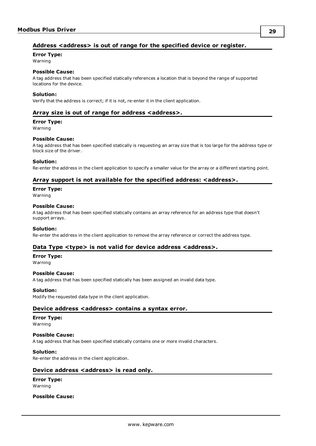## <span id="page-28-0"></span>**Address <address> is out of range for the specified device or register.**

## **Error Type:**

Warning

## **Possible Cause:**

A tag address that has been specified statically references a location that is beyond the range of supported locations for the device.

### **Solution:**

<span id="page-28-1"></span>Verify that the address is correct; if it is not, re-enter it in the client application.

## **Array size is out of range for address <address>.**

#### **Error Type:**

Warning

#### **Possible Cause:**

A tag address that has been specified statically is requesting an array size that is too large for the address type or block size of the driver.

#### **Solution:**

<span id="page-28-2"></span>Re-enter the address in the client application to specify a smaller value for the array or a different starting point.

## **Array support is not available for the specified address: <address>.**

#### **Error Type:**

Warning

#### **Possible Cause:**

A tag address that has been specified statically contains an array reference for an address type that doesn't support arrays.

#### **Solution:**

<span id="page-28-3"></span>Re-enter the address in the client application to remove the array reference or correct the address type.

## **Data Type <type> is not valid for device address <address>.**

#### **Error Type:**

Warning

#### **Possible Cause:**

A tag address that has been specified statically has been assigned an invalid data type.

#### **Solution:**

<span id="page-28-4"></span>Modify the requested data type in the client application.

## **Device address <address> contains a syntax error.**

#### **Error Type:**

Warning

## **Possible Cause:**

A tag address that has been specified statically contains one or more invalid characters.

#### **Solution:**

<span id="page-28-5"></span>Re-enter the address in the client application.

## **Device address <address>** is read only.

#### **Error Type:** Warning

**Possible Cause:**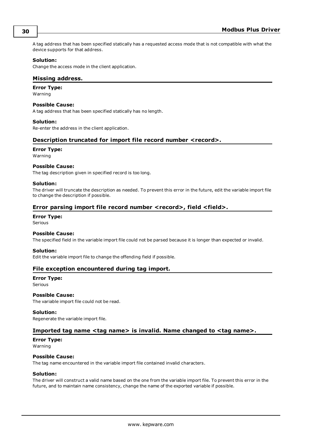A tag address that has been specified statically has a requested access mode that is not compatible with what the device supports for that address.

#### **Solution:**

<span id="page-29-0"></span>Change the access mode in the client application.

### **Missing address.**

**Error Type:**

Warning

#### **Possible Cause:**

A tag address that has been specified statically has no length.

#### **Solution:**

<span id="page-29-1"></span>Re-enter the address in the client application.

## **Description truncated for import file record number <record>.**

#### **Error Type:**

Warning

#### **Possible Cause:**

The tag description given in specified record is too long.

#### **Solution:**

The driver will truncate the description as needed. To prevent this error in the future, edit the variable import file to change the description if possible.

## <span id="page-29-2"></span>**Error parsing import file record number <record>, field <field>.**

## **Error Type:**

Serious

#### **Possible Cause:**

The specified field in the variable import file could not be parsed because it is longer than expected or invalid.

#### **Solution:**

<span id="page-29-3"></span>Edit the variable import file to change the offending field if possible.

## **File exception encountered during tag import.**

**Error Type:**

Serious

## **Possible Cause:**

The variable import file could not be read.

#### **Solution:**

<span id="page-29-4"></span>Regenerate the variable import file.

## **Imported tag name <tag name> is invalid. Name changed to <tag name>.**

## **Error Type:**

Warning

## **Possible Cause:**

The tag name encountered in the variable import file contained invalid characters.

#### **Solution:**

The driver will construct a valid name based on the one from the variable import file. To prevent this error in the future, and to maintain name consistency, change the name of the exported variable if possible.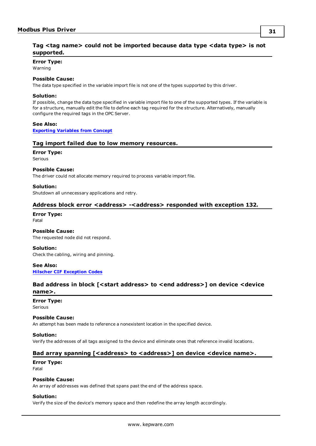## <span id="page-30-0"></span>**Tag <tag name> could not be imported because data type <data type> is not supported.**

### **Error Type:**

Warning

#### **Possible Cause:**

The data type specified in the variable import file is not one of the types supported by this driver.

#### **Solution:**

If possible, change the data type specified in variable import file to one of the supported types. If the variable is for a structure, manually edit the file to define each tag required for the structure. Alternatively, manually configure the required tags in the OPC Server.

**See Also: [Exporting](#page-12-1) Variables from Concept**

#### <span id="page-30-1"></span>**Tag import failed due to low memory resources.**

## **Error Type:**

Serious

#### **Possible Cause:**

The driver could not allocate memory required to process variable import file.

#### **Solution:**

<span id="page-30-2"></span>Shutdown all unnecessary applications and retry.

## **Address block error <address> -<address> responded with exception 132.**

## **Error Type:**

Fatal

## **Possible Cause:**

The requested node did not respond.

#### **Solution:**

Check the cabling, wiring and pinning.

#### **See Also: Hilscher CIF [Exception](#page-36-0) Codes**

## <span id="page-30-3"></span>**Bad address in block [<start address> to <end address>] on device <device name>.**

## **Error Type:**

Serious

#### **Possible Cause:**

An attempt has been made to reference a nonexistent location in the specified device.

## **Solution:**

<span id="page-30-4"></span>Verify the addresses of all tags assigned to the device and eliminate ones that reference invalid locations.

## **Bad** array spanning [<address> to <address>] on device <device name>.

#### **Error Type:** Fatal

#### **Possible Cause:**

An array of addresses was defined that spans past the end of the address space.

#### **Solution:**

Verify the size of the device's memory space and then redefine the array length accordingly.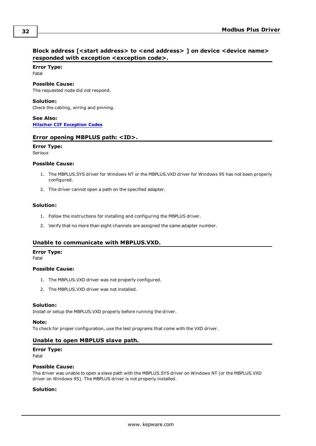## <span id="page-31-0"></span>**Block address [<start address> to <end address> ] on device <device name> responded with exception <exception code>.**

## **Error Type:**

Fatal

## **Possible Cause:**

The requested node did not respond.

## **Solution:**

Check the cabling, wiring and pinning.

**See Also: Hilscher CIF [Exception](#page-36-0) Codes**

## <span id="page-31-1"></span>**Error opening MBPLUS path: <ID>.**

## **Error Type:**

Serious

## **Possible Cause:**

- 1. The MBPLUS.SYS driver for Windows NT or the MBPLUS.VXD driver for Windows 95 has not been properly configured.
- 2. The driver cannot open a path on the specified adapter.

## **Solution:**

- 1. Follow the instructions for installing and configuring the MBPLUS driver.
- 2. Verify that no more than eight channels are assigned the same adapter number.

## <span id="page-31-2"></span>**Unable to communicate with MBPLUS.VXD.**

## **Error Type:**

Fatal

#### **Possible Cause:**

- 1. The MBPLUS.VXD driver was not properly configured.
- 2. The MBPLUS.VXD driver was not installed.

## **Solution:**

Install or setup the MBPLUS.VXD properly before running the driver.

#### **Note:**

<span id="page-31-3"></span>To check for proper configuration, use the test programs that come with the VXD driver.

## **Unable to open MBPLUS slave path.**

## **Error Type:**

Fatal

#### **Possible Cause:**

The driver was unable to open a slave path with the MBPLUS.SYS driver on Windows NT (or the MBPLUS.VXD driver on Windows 95). The MBPLUS driver is not properly installed.

## **Solution:**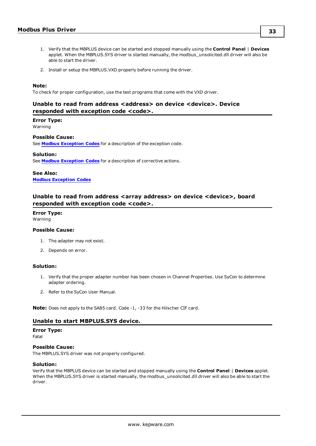- 1. Verify that the MBPLUS device can be started and stopped manually using the **Control Panel** | **Devices** applet. When the MBPLUS.SYS driver is started manually, the modbus\_unsolicited.dll driver will also be able to start the driver.
- 2. Install or setup the MBPLUS.VXD properly before running the driver.

#### **Note:**

<span id="page-32-0"></span>To check for proper configuration, use the test programs that come with the VXD driver.

## **Unable to read from address <address> on device <device>. Device responded with exception code <code>.**

## **Error Type:**

Warning

#### **Possible Cause:**

See **Modbus [Exception](#page-35-0) Codes** for a description of the exception code.

#### **Solution:**

See **Modbus [Exception](#page-35-0) Codes** for a description of corrective actions.

**See Also: Modbus [Exception](#page-35-0) Codes**

## <span id="page-32-1"></span>**Unable to read from address <array address> on device <device>, board responded with exception code <code>.**

## **Error Type:**

Warning

### **Possible Cause:**

- 1. The adapter may not exist.
- 2. Depends on error.

#### **Solution:**

- 1. Verify that the proper adapter number has been chosen in Channel Properties. Use SyCon to determine adapter ordering.
- 2. Refer to the SyCon User Manual.

<span id="page-32-2"></span>**Note:** Does not apply to the SA85 card. Code -1, -33 for the Hilscher CIF card.

## **Unable to start MBPLUS.SYS device.**

### **Error Type:**

Fatal

## **Possible Cause:**

The MBPLUS.SYS driver was not properly configured.

#### **Solution:**

Verify that the MBPLUS device can be started and stopped manually using the **Control Panel** | **Devices** applet. When the MBPLUS.SYS driver is started manually, the modbus\_unsolicited.dll driver will also be able to start the driver.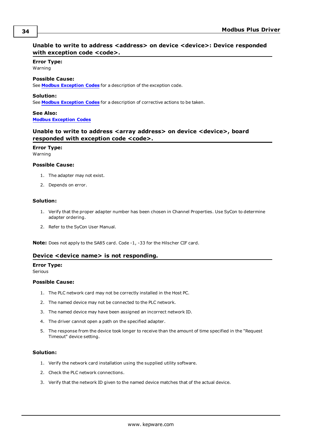## <span id="page-33-0"></span>**Unable to write to address <address> on device <device>: Device responded with exception code <code>.**

#### **Error Type:** Warning

### **Possible Cause:**

See **Modbus [Exception](#page-35-0) Codes** for a description of the exception code.

#### **Solution:**

See **Modbus [Exception](#page-35-0) Codes** for a description of corrective actions to be taken.

**See Also: Modbus [Exception](#page-35-0) Codes**

## <span id="page-33-1"></span>**Unable to write to address <array address> on device <device>, board responded with exception code <code>.**

#### **Error Type:** Warning

#### **Possible Cause:**

- 1. The adapter may not exist.
- 2. Depends on error.

#### **Solution:**

- 1. Verify that the proper adapter number has been chosen in Channel Properties. Use SyCon to determine adapter ordering.
- 2. Refer to the SyCon User Manual.

<span id="page-33-2"></span>**Note:** Does not apply to the SA85 card. Code -1, -33 for the Hilscher CIF card.

## **Device <device name> is not responding.**

#### **Error Type:**

Serious

#### **Possible Cause:**

- 1. The PLC network card may not be correctly installed in the Host PC.
- 2. The named device may not be connected to the PLC network.
- 3. The named device may have been assigned an incorrect network ID.
- 4. The driver cannot open a path on the specified adapter.
- 5. The response from the device took longer to receive than the amount of time specified in the "Request Timeout" device setting.

#### **Solution:**

- 1. Verify the network card installation using the supplied utility software.
- 2. Check the PLC network connections.
- 3. Verify that the network ID given to the named device matches that of the actual device.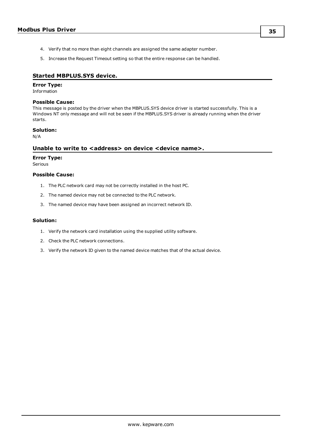- 4. Verify that no more than eight channels are assigned the same adapter number.
- 5. Increase the Request Timeout setting so that the entire response can be handled.

## <span id="page-34-0"></span>**Started MBPLUS.SYS device.**

#### **Error Type:**

Information

#### **Possible Cause:**

This message is posted by the driver when the MBPLUS.SYS device driver is started successfully. This is a Windows NT only message and will not be seen if the MBPLUS.SYS driver is already running when the driver starts.

### **Solution:**

<span id="page-34-1"></span>N/A

## **Unable to write to <address> on device <device name>.**

## **Error Type:**

Serious

## **Possible Cause:**

- 1. The PLC network card may not be correctly installed in the host PC.
- 2. The named device may not be connected to the PLC network.
- 3. The named device may have been assigned an incorrect network ID.

## **Solution:**

- 1. Verify the network card installation using the supplied utility software.
- 2. Check the PLC network connections.
- 3. Verify the network ID given to the named device matches that of the actual device.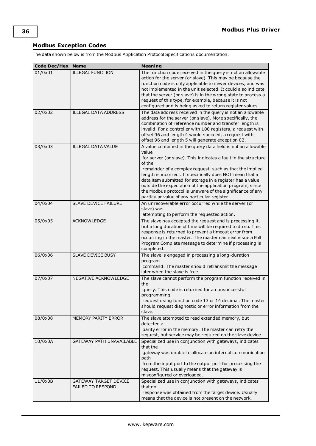## <span id="page-35-0"></span>**Modbus Exception Codes**

The data shown below is from the Modbus Application Protocol Specifications documentation.

| <b>Code Dec/Hex</b> | <b>Name</b>                                              | <b>Meaning</b>                                                                                                                                                                                                                                                                                                                                                                                                                                                                                                     |  |
|---------------------|----------------------------------------------------------|--------------------------------------------------------------------------------------------------------------------------------------------------------------------------------------------------------------------------------------------------------------------------------------------------------------------------------------------------------------------------------------------------------------------------------------------------------------------------------------------------------------------|--|
| 01/0x01             | <b>ILLEGAL FUNCTION</b>                                  | The function code received in the query is not an allowable<br>action for the server (or slave). This may be because the<br>function code is only applicable to newer devices, and was<br>not implemented in the unit selected. It could also indicate<br>that the server (or slave) is in the wrong state to process a<br>request of this type, for example, because it is not<br>configured and is being asked to return register values.                                                                        |  |
| 02/0x02             | <b>ILLEGAL DATA ADDRESS</b>                              | The data address received in the query is not an allowable<br>address for the server (or slave). More specifically, the<br>combination of reference number and transfer length is<br>invalid. For a controller with 100 registers, a request with<br>offset 96 and length 4 would succeed, a request with<br>offset 96 and length 5 will generate exception 02.                                                                                                                                                    |  |
| 03/0x03             | <b>ILLEGAL DATA VALUE</b>                                | A value contained in the query data field is not an allowable<br>value<br>for server (or slave). This indicates a fault in the structure<br>of the<br>remainder of a complex request, such as that the implied<br>length is incorrect. It specifically does NOT mean that a<br>data item submitted for storage in a register has a value<br>outside the expectation of the application program, since<br>the Modbus protocol is unaware of the significance of any<br>particular value of any particular register. |  |
| 04/0x04             | SLAVE DEVICE FAILURE                                     | An unrecoverable error occurred while the server (or<br>slave) was<br>attempting to perform the requested action.                                                                                                                                                                                                                                                                                                                                                                                                  |  |
| 05/0x05             | <b>ACKNOWLEDGE</b>                                       | The slave has accepted the request and is processing it,<br>but a long duration of time will be required to do so. This<br>response is returned to prevent a timeout error from<br>occurring in the master. The master can next issue a Poll<br>Program Complete message to determine if processing is<br>completed.                                                                                                                                                                                               |  |
| 06/0x06             | SLAVE DEVICE BUSY                                        | The slave is engaged in processing a long-duration<br>program<br>command. The master should retransmit the message<br>later when the slave is free.                                                                                                                                                                                                                                                                                                                                                                |  |
| 07/0x07             | NEGATIVE ACKNOWLEDGE                                     | The slave cannot perform the program function received in<br>the<br>query. This code is returned for an unsuccessful<br>programming<br>request using function code 13 or 14 decimal. The master<br>should request diagnostic or error information from the<br>slave.                                                                                                                                                                                                                                               |  |
| 08/0x08             | MEMORY PARITY ERROR                                      | The slave attempted to read extended memory, but<br>detected a<br>parity error in the memory. The master can retry the<br>request, but service may be required on the slave device.                                                                                                                                                                                                                                                                                                                                |  |
| 10/0x0A             | GATEWAY PATH UNAVAILABLE                                 | Specialized use in conjunction with gateways, indicates<br>that the<br>gateway was unable to allocate an internal communication<br>path<br>from the input port to the output port for processing the<br>request. This usually means that the gateway is<br>misconfigured or overloaded.                                                                                                                                                                                                                            |  |
| 11/0x0B             | <b>GATEWAY TARGET DEVICE</b><br><b>FAILED TO RESPOND</b> | Specialized use in conjunction with gateways, indicates<br>that no<br>response was obtained from the target device. Usually<br>means that the device is not present on the network.                                                                                                                                                                                                                                                                                                                                |  |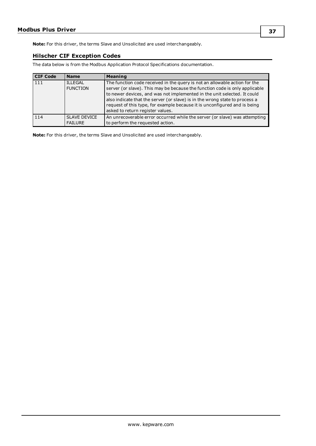<span id="page-36-0"></span>**Note:** For this driver, the terms Slave and Unsolicited are used interchangeably.

## **Hilscher CIF Exception Codes**

The data below is from the Modbus Application Protocol Specifications documentation.

| <b>CIF Code</b> | <b>Name</b>                           | <b>Meaning</b>                                                                                                                                                                                                                                                                                                                                                                                                                        |
|-----------------|---------------------------------------|---------------------------------------------------------------------------------------------------------------------------------------------------------------------------------------------------------------------------------------------------------------------------------------------------------------------------------------------------------------------------------------------------------------------------------------|
| 111             | <b>ILLEGAL</b><br><b>FUNCTION</b>     | The function code received in the query is not an allowable action for the<br>server (or slave). This may be because the function code is only applicable<br>to newer devices, and was not implemented in the unit selected. It could<br>also indicate that the server (or slave) is in the wrong state to process a<br>request of this type, for example because it is unconfigured and is being<br>asked to return register values. |
| 114             | <b>SLAVE DEVICE</b><br><b>FAILURE</b> | An unrecoverable error occurred while the server (or slave) was attempting<br>to perform the requested action.                                                                                                                                                                                                                                                                                                                        |

**Note:** For this driver, the terms Slave and Unsolicited are used interchangeably.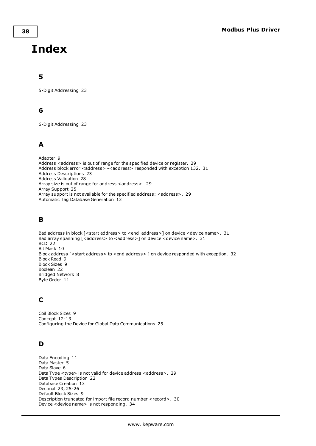# <span id="page-37-0"></span>**Index**

## **5**

5-Digit Addressing [23](#page-22-2)

## **6**

6-Digit Addressing [23](#page-22-2)

## **A**

Adapter [9](#page-8-2) Address <address> is out of range for the specified device or register. [29](#page-28-0) Address block error <address> -<address> responded with exception 132. [31](#page-30-2) Address Descriptions [23](#page-22-0) Address Validation [28](#page-27-1) Array size is out of range for address <address>. [29](#page-28-1) Array Support [25](#page-24-2) Array support is not available for the specified address: <address>. [29](#page-28-2) Automatic Tag Database Generation [13](#page-12-0)

## **B**

Bad address in block [<start address> to <end address>] on device <device name>. [31](#page-30-3) Bad array spanning [<address> to <address>] on device <device name>. [31](#page-30-4) BCD [22](#page-21-1) Bit Mask [10](#page-9-0) Block address [<start address> to <end address> ] on device responded with exception. [32](#page-31-0) Block Read [9](#page-8-3) Block Sizes [9](#page-8-0) Boolean [22](#page-21-2) Bridged Network [8](#page-7-1) Byte Order [11](#page-10-0)

## **C**

Coil Block Sizes [9](#page-8-4) Concept [12-13](#page-11-1) Configuring the Device for Global Data Communications [25](#page-24-1)

## **D**

Data Encoding [11](#page-10-1) Data Master [5](#page-4-2) Data Slave [6](#page-5-1) Data Type <type> is not valid for device address <address>. [29](#page-28-3) Data Types Description [22](#page-21-0) Database Creation [13](#page-12-2) Decimal [23](#page-22-3), [25-26](#page-24-3) Default Block Sizes [9](#page-8-5) Description truncated for import file record number <record>. [30](#page-29-1) Device <device name> is not responding. [34](#page-33-2)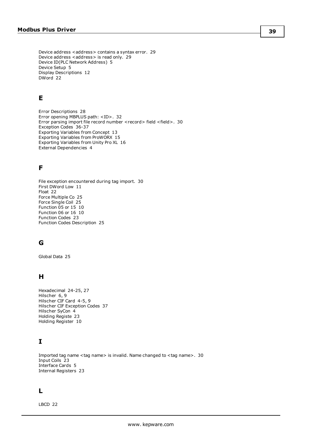Device address <address> contains a syntax error. [29](#page-28-4) Device address <address> is read only. [29](#page-28-5) Device ID(PLC Network Address) [5](#page-4-1) Device Setup [5](#page-4-0) Display Descriptions [12](#page-11-2) DWord [22](#page-21-3)

## **E**

Error Descriptions [28](#page-27-0) Error opening MBPLUS path: <ID>. [32](#page-31-1) Error parsing import file record number <record> field <field>. [30](#page-29-2) Exception Codes [36-37](#page-35-0) Exporting Variables from Concept [13](#page-12-1) Exporting Variables from ProWORX [15](#page-14-0) Exporting Variables from Unity Pro XL [16](#page-15-0) External Dependencies [4](#page-3-2)

## **F**

File exception encountered during tag import. [30](#page-29-3) First DWord Low [11](#page-10-2) Float [22](#page-21-4) Force Multiple Co [25](#page-24-4) Force Single Coil [25](#page-24-5) Function 05 or 15 [10](#page-9-1) Function 06 or 16 [10](#page-9-2) Function Codes [23](#page-22-4) Function Codes Description [25](#page-24-0)

## **G**

Global Data [25](#page-24-6)

## **H**

Hexadecimal [24-25](#page-23-0), [27](#page-26-0) Hilscher [6,](#page-5-2) [9](#page-8-6) Hilscher CIF Card [4-5](#page-3-3), [9](#page-8-7) Hilscher CIF Exception Codes [37](#page-36-0) Hilscher SyCon [4](#page-3-4) Holding Registe [23](#page-22-5) Holding Register [10](#page-9-0)

## **I**

Imported tag name <tag name> is invalid. Name changed to <tag name>. [30](#page-29-4) Input Coils [23](#page-22-6) Interface Cards [5](#page-4-3) Internal Registers [23](#page-22-7)

## **L**

LBCD [22](#page-21-5)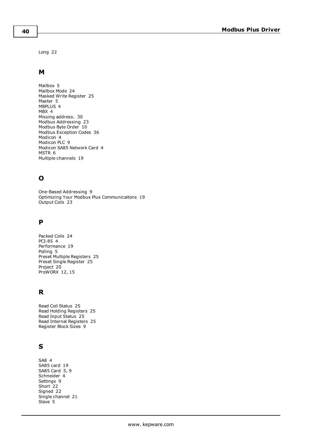Long [22](#page-21-6)

## **M**

Mailbox [5](#page-4-4) Mailbox Mode [24](#page-23-1) Masked Write Register [25](#page-24-7) Master [5](#page-4-5) MBPLUS [4](#page-3-5) MBX [4](#page-3-5) Missing address. [30](#page-29-0) Modbus Addressing [23](#page-22-1) Modbus Byte Order [10](#page-9-3) Modbus Exception Codes [36](#page-35-0) Modicon [4](#page-3-5) Modicon PLC [9](#page-8-8) Modicon SA85 Network Card [4](#page-3-3) MSTR [6](#page-5-3) Multiple channels [19](#page-18-1)

## **O**

One-Based Addressing [9](#page-8-9) Optimizing Your Modbus Plus Communicaitons [19](#page-18-0) Output Coils [23](#page-22-8)

## **P**

Packed Coils [24](#page-23-2) PCI-85 [4](#page-3-5) Performance [19](#page-18-1) Polling [5](#page-4-6) Preset Multiple Registers [25](#page-24-8) Preset Single Register [25](#page-24-9) Project [20](#page-19-0) ProWORX [12](#page-11-1), [15](#page-14-1)

## **R**

Read Coil Status [25](#page-24-10) Read Holding Registers [25](#page-24-11) Read Input Status [25](#page-24-12) Read Internal Registers [25](#page-24-13) Register Block Sizes [9](#page-8-10)

## **S**

SA8 [4](#page-3-5) SA85 card [19](#page-18-2) SA85 Card [5](#page-4-7), [9](#page-8-11) Schneider [4](#page-3-5) Settings [9](#page-8-1) Short [22](#page-21-7) Signed [22](#page-21-8) Single channel [21](#page-20-0) Slave [5](#page-4-5)